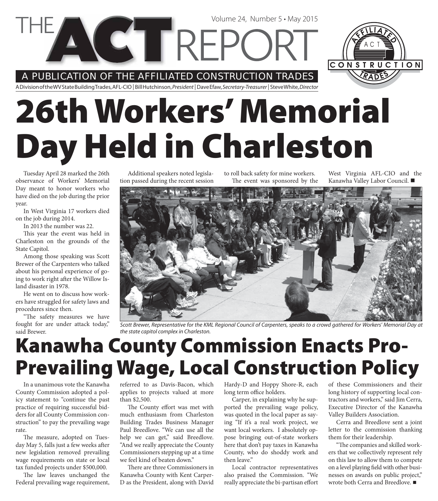A PUBLICATION OF THE AFFILIATED CONSTRUCTION TRADES

**VETTREPC** 

A Division of the WV State Building Trades, AFL-CIO | Bill Hutchinson, President | Dave Efaw, Secretary-Treasurer | Steve White, Director

# **26th Workers' Memorial Day Held in Charleston**

Tuesday April 28 marked the 26th observance of Workers' Memorial Day meant to honor workers who have died on the job during the prior year.

In West Virginia 17 workers died on the job during 2014.

In 2013 the number was 22.

This year the event was held in Charleston on the grounds of the State Capitol.

Among those speaking was Scott Brewer of the Carpenters who talked about his personal experience of going to work right after the Willow Island disaster in 1978.

He went on to discuss how workers have struggled for safety laws and procedures since then.

"The safety measures we have fought for are under attack today," said Brewer.

Additional speakers noted legislation passed during the recent session to roll back safety for mine workers. The event was sponsored by the

Volume 24, Number 5 • May 2015

West Virginia AFL-CIO and the Kanawha Valley Labor Council.

CONSTRUCTION



Scott Brewer, Representative for the KML Regional Council of Carpenters, speaks to a crowd gathered for Workers' Memorial Day at the state capitol complex in Charleston.

## **Kanawha County Commission Enacts Pro-Prevailing Wage, Local Construction Policy**

In a unanimous vote the Kanawha County Commission adopted a policy statement to "continue the past practice of requiring successful bidders for all County Commission construction" to pay the prevailing wage rate.

The measure, adopted on Tuesday May 5, falls just a few weeks after new legislation removed prevailing wage requirements on state or local tax funded projects under \$500,000.

The law leaves unchanged the Federal prevailing wage requirement, referred to as Davis-Bacon, which applies to projects valued at more than \$2,500.

The County effort was met with much enthusiasm from Charleston Building Trades Business Manager Paul Breedlove. "We can use all the help we can get," said Breedlove. "And we really appreciate the County Commissioners stepping up at a time we feel kind of beaten down."

There are three Commissioners in Kanawha County with Kent Carper-D as the President, along with David Hardy-D and Hoppy Shore-R, each long term office holders.

Carper, in explaining why he supported the prevailing wage policy, was quoted in the local paper as saying "If it's a real work project, we want local workers. I absolutely oppose bringing out-of-state workers here that don't pay taxes in Kanawha County, who do shoddy work and then leave"

Local contractor representatives also praised the Commission. "We really appreciate the bi-partisan effort of these Commissioners and their long history of supporting local contractors and workers," said Jim Cerra, Executive Director of the Kanawha Valley Builders Association.

Cerra and Breedlove sent a joint letter to the commission thanking them for their leadership.

"The companies and skilled workers that we collectively represent rely on this law to allow them to compete on a level playing field with other businesses on awards on public project," wrote both Cerra and Breedlove. ■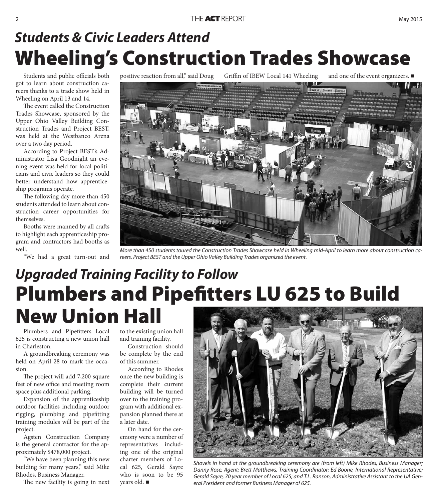#### **Wheeling's Construction Trades Showcase** *Students & Civic Leaders Attend*

Students and public officials both got to learn about construction careers thanks to a trade show held in Wheeling on April 13 and 14.

The event called the Construction Trades Showcase, sponsored by the Upper Ohio Valley Building Construction Trades and Project BEST, was held at the Westbanco Arena over a two day period.

According to Project BEST's Administrator Lisa Goodnight an evening event was held for local politicians and civic leaders so they could better understand how apprenticeship programs operate.

The following day more than 450 students attended to learn about construction career opportunities for themselves.

Booths were manned by all crafts to highlight each apprenticeship program and contractors had booths as well.

"We had a great turn-out and

positive reaction from all," said Doug Griffin of IBEW Local 141 Wheeling and one of the event organizers.



More than 450 students toured the Construction Trades Showcase held in Wheeling mid-April to learn more about construction careers. Project BEST and the Upper Ohio Valley Building Trades organized the event.

### **Plumbers and Pipefitters LU 625 to Build New Union Hall** *Upgraded Training Facility to Follow*

Plumbers and Pipefitters Local 625 is constructing a new union hall in Charleston.

A groundbreaking ceremony was held on April 28 to mark the occasion.

The project will add 7,200 square feet of new office and meeting room space plus additional parking.

Expansion of the apprenticeship outdoor facilities including outdoor rigging, plumbing and pipefitting training modules will be part of the project.

Agsten Construction Company is the general contractor for the approximately \$478,000 project.

"We have been planning this new building for many years," said Mike Rhodes, Business Manager.

The new facility is going in next

to the existing union hall and training facility.

Construction should be complete by the end of this summer.

According to Rhodes once the new building is complete their current building will be turned over to the training program with additional expansion planned there at a later date.

On hand for the ceremony were a number of representatives including one of the original charter members of Local 625, Gerald Sayre who is soon to be 95 years old.



Shovels in hand at the groundbreaking ceremony are (from left) Mike Rhodes, Business Manager; Danny Rose, Agent; Brett Matthews, Training Coordinator; Ed Boone, International Representative; Gerald Sayre, 70 year member of Local 625; and T.L. Ranson, Administrative Assistant to the UA General President and former Business Manager of 625.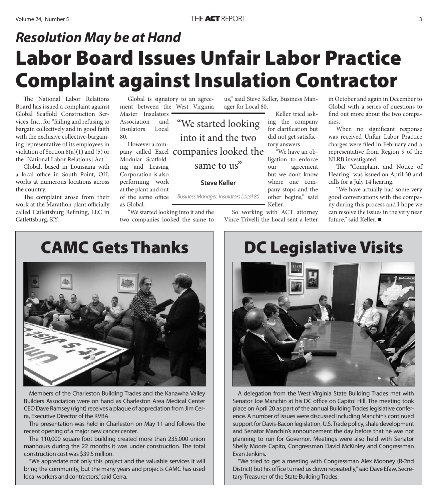### **Labor Board Issues Unfair Labor Practice Complaint against Insulation Contractor** *Resolution May be at Hand*

"We started looking

into it and the two

same to us"

**Steve Keller**

Business Manager, Insulators Local 80

The National Labor Relations Board has issued a complaint against Global Scaffold Construction Services, Inc., for "failing and refusing to bargain collectively and in good faith with the exclusive collective-bargaining representative of its employees in violation of Section 8(a)(1) and (5) or the [National Labor Relations] Act."

Global, based in Louisiana with a local office in South Point, OH, works at numerous locations across the country.

The complaint arose from their work at the Marathon plant officially called Catlettsburg Refining, LLC in Catlettsburg, KY.

Global is signatory to an agreement between the West Virginia Master Insulators

Association and Insulators Local 80. However a com-

pany called Excel companies looked the Modular Scaffolding and Leasing Corporation is also performing work at the plant and out of the same office

as Global.

"We started looking into it and the two companies looked the same to us," said Steve Keller, Business Manager for Local 80.

> Keller tried asking the company for clarification but did not get satisfactory answers.

"We have an obligation to enforce our agreement but we don't know where one company stops and the other begins," said Keller.

So working with ACT attorney Vince Trivelli the Local sent a letter in October and again in December to Global with a series of questions to find out more about the two companies.

When no significant response was received Unfair Labor Practice charges were filed in February and a representative from Region 9 of the NLRB investigated.

The "Complaint and Notice of Hearing" was issued on April 30 and calls for a July 14 hearing.

"We have actually had some very good conversations with the company during this process and I hope we can resolve the issues in the very near future," said Keller. ■

**CAMC Gets Thanks**



Members of the Charleston Building Trades and the Kanawha Valley Builders Association were on hand as Charleston Area Medical Center CEO Dave Ramsey (right) receives a plaque of appreciation from Jim Cerra, Executive Director of the KVBA.

The presentation was held in Charleston on May 11 and follows the recent opening of a major new cancer center.

The 110,000 square foot building created more than 235,000 union manhours during the 22 months it was under construction. The total construction cost was \$39.5 million.

"We appreciate not only this project and the valuable services it will bring the community, but the many years and projects CAMC has used local workers and contractors," said Cerra.

#### **DC Legislative Visits**



A delegation from the West Virginia State Building Trades met with Senator Joe Manchin at his DC office on Capitol Hill. The meeting took place on April 20 as part of the annual Building Trades legislative conference. A number of issues were discussed including Manchin's continued support for Davis-Bacon legislation, U.S. Trade policy, shale development and Senator Manchin's announcement the day before that he was not planning to run for Governor. Meetings were also held with Senator Shelly Moore Capito, Congressman David McKinley and Congressman Evan Jenkins.

"We tried to get a meeting with Congressman Alex Mooney (R-2nd District) but his office turned us down repeatedly," said Dave Efaw, Secretary-Treasurer of the State Building Trades.